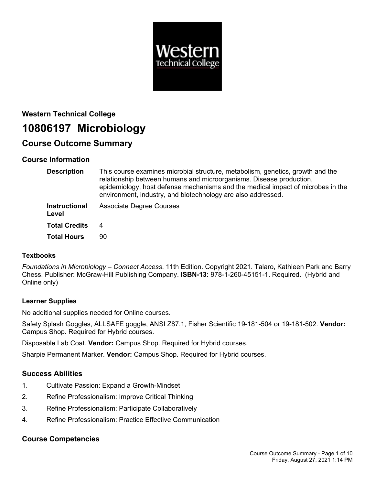

# **Western Technical College 10806197 Microbiology**

## **Course Outcome Summary**

### **Course Information**

| <b>Description</b>            | This course examines microbial structure, metabolism, genetics, growth and the<br>relationship between humans and microorganisms. Disease production,<br>epidemiology, host defense mechanisms and the medical impact of microbes in the<br>environment, industry, and biotechnology are also addressed. |
|-------------------------------|----------------------------------------------------------------------------------------------------------------------------------------------------------------------------------------------------------------------------------------------------------------------------------------------------------|
| <b>Instructional</b><br>Level | <b>Associate Degree Courses</b>                                                                                                                                                                                                                                                                          |
| <b>Total Credits</b>          | 4                                                                                                                                                                                                                                                                                                        |
| <b>Total Hours</b>            | 90                                                                                                                                                                                                                                                                                                       |

### **Textbooks**

*Foundations in Microbiology – Connect Access*. 11th Edition. Copyright 2021. Talaro, Kathleen Park and Barry Chess. Publisher: McGraw-Hill Publishing Company. **ISBN-13:** 978-1-260-45151-1. Required. (Hybrid and Online only)

### **Learner Supplies**

No additional supplies needed for Online courses.

Safety Splash Goggles, ALLSAFE goggle, ANSI Z87.1, Fisher Scientific 19-181-504 or 19-181-502. **Vendor:** Campus Shop. Required for Hybrid courses.

Disposable Lab Coat. **Vendor:** Campus Shop. Required for Hybrid courses.

Sharpie Permanent Marker. **Vendor:** Campus Shop. Required for Hybrid courses.

### **Success Abilities**

- 1. Cultivate Passion: Expand a Growth-Mindset
- 2. Refine Professionalism: Improve Critical Thinking
- 3. Refine Professionalism: Participate Collaboratively
- 4. Refine Professionalism: Practice Effective Communication

### **Course Competencies**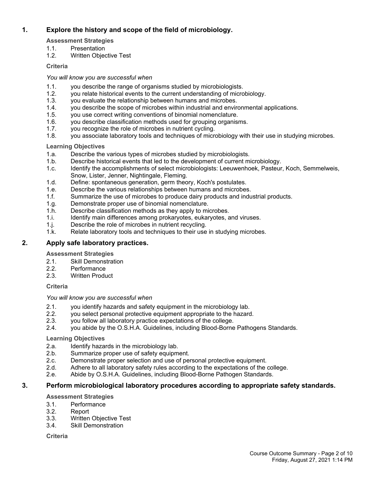### **1. Explore the history and scope of the field of microbiology.**

### **Assessment Strategies**

- 1.1. Presentation
- 1.2. Written Objective Test

### **Criteria**

### *You will know you are successful when*

- 1.1. you describe the range of organisms studied by microbiologists.
- 1.2. you relate historical events to the current understanding of microbiology.
- 1.3. you evaluate the relationship between humans and microbes.
- 1.4. you describe the scope of microbes within industrial and environmental applications.
- 1.5. you use correct writing conventions of binomial nomenclature.
- 1.6. you describe classification methods used for grouping organisms.<br>1.7. vou recognize the role of microbes in nutrient cycling.
- you recognize the role of microbes in nutrient cycling.
- 1.8. you associate laboratory tools and techniques of microbiology with their use in studying microbes.

### **Learning Objectives**

- 1.a. Describe the various types of microbes studied by microbiologists.
- 1.b. Describe historical events that led to the development of current microbiology.
- 1.c. Identify the accomplishments of select microbiologists: Leeuwenhoek, Pasteur, Koch, Semmelweis, Snow, Lister, Jenner, Nightingale, Fleming.
- 1.d. Define: spontaneous generation, germ theory, Koch's postulates.
- 1.e. Describe the various relationships between humans and microbes.
- 1.f. Summarize the use of microbes to produce dairy products and industrial products.
- 1.g. Demonstrate proper use of binomial nomenclature.
- 1.h. Describe classification methods as they apply to microbes.
- 1.i. Identify main differences among prokaryotes, eukaryotes, and viruses.
- 1.j. Describe the role of microbes in nutrient recycling.
- 1.k. Relate laboratory tools and techniques to their use in studying microbes.

### **2. Apply safe laboratory practices.**

### **Assessment Strategies**

- 2.1. Skill Demonstration
- 2.2. Performance
- 2.3. Written Product

### **Criteria**

### *You will know you are successful when*

- 2.1. you identify hazards and safety equipment in the microbiology lab.
- 2.2. you select personal protective equipment appropriate to the hazard.
- 2.3. you follow all laboratory practice expectations of the college.
- 2.4. you abide by the O.S.H.A. Guidelines, including Blood-Borne Pathogens Standards.

### **Learning Objectives**

- 2.a. Identify hazards in the microbiology lab.<br>2.b. Summarize proper use of safety equipm
- Summarize proper use of safety equipment.
- 2.c. Demonstrate proper selection and use of personal protective equipment.
- 2.d. Adhere to all laboratory safety rules according to the expectations of the college.
- 2.e. Abide by O.S.H.A. Guidelines, including Blood-Borne Pathogen Standards.

### **3. Perform microbiological laboratory procedures according to appropriate safety standards.**

### **Assessment Strategies**

- 3.1. Performance
- 3.2. Report
- 3.3. Written Objective Test
- 3.4. Skill Demonstration

### **Criteria**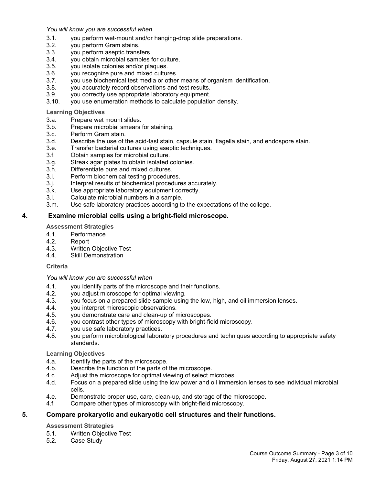*You will know you are successful when*

- 3.1. you perform wet-mount and/or hanging-drop slide preparations.
- 3.2. you perform Gram stains.
- 3.3. you perform aseptic transfers.
- 3.4. you obtain microbial samples for culture.
- 3.5. you isolate colonies and/or plaques.
- 3.6. you recognize pure and mixed cultures.<br>3.7. vou use biochemical test media or other
- 3.7. you use biochemical test media or other means of organism identification.
- 3.8. you accurately record observations and test results.
- 3.9. you correctly use appropriate laboratory equipment.
- 3.10. you use enumeration methods to calculate population density.

#### **Learning Objectives**

- 3.a. Prepare wet mount slides.
- 3.b. Prepare microbial smears for staining.
- 3.c. Perform Gram stain.
- 3.d. Describe the use of the acid-fast stain, capsule stain, flagella stain, and endospore stain.
- 3.e. Transfer bacterial cultures using aseptic techniques.
- 3.f. Obtain samples for microbial culture.
- 3.g. Streak agar plates to obtain isolated colonies.
- 3.h. Differentiate pure and mixed cultures.
- 3.i. Perform biochemical testing procedures.
- 3.j. Interpret results of biochemical procedures accurately.
- 3.k. Use appropriate laboratory equipment correctly.
- 3.l. Calculate microbial numbers in a sample.
- 3.m. Use safe laboratory practices according to the expectations of the college.

### **4. Examine microbial cells using a bright-field microscope.**

#### **Assessment Strategies**

- 4.1. Performance
- 4.2. Report
- 4.3. Written Objective Test
- 4.4. Skill Demonstration

#### **Criteria**

#### *You will know you are successful when*

- 4.1. you identify parts of the microscope and their functions.<br>4.2. vou adiust microscope for optimal viewing.
- 4.2. you adjust microscope for optimal viewing.<br>4.3. vou focus on a prepared slide sample using
- you focus on a prepared slide sample using the low, high, and oil immersion lenses.
- 4.4. you interpret microscopic observations.
- 4.5. you demonstrate care and clean-up of microscopes.
- 4.6. you contrast other types of microscopy with bright-field microscopy.
- 4.7. you use safe laboratory practices.
- 4.8. you perform microbiological laboratory procedures and techniques according to appropriate safety standards.

#### **Learning Objectives**

- 4.a. Identify the parts of the microscope.
- 4.b. Describe the function of the parts of the microscope.
- 4.c. Adjust the microscope for optimal viewing of select microbes.
- 4.d. Focus on a prepared slide using the low power and oil immersion lenses to see individual microbial cells.
- 4.e. Demonstrate proper use, care, clean-up, and storage of the microscope.
- 4.f. Compare other types of microscopy with bright-field microscopy.

### **5. Compare prokaryotic and eukaryotic cell structures and their functions.**

#### **Assessment Strategies**

- 5.1. Written Objective Test
- 5.2. Case Study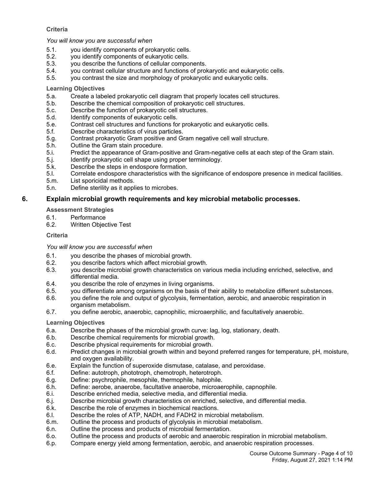### **Criteria**

### *You will know you are successful when*

- 5.1. you identify components of prokaryotic cells.
- 5.2. you identify components of eukaryotic cells.
- 5.3. you describe the functions of cellular components.
- 5.4. you contrast cellular structure and functions of prokaryotic and eukaryotic cells.
- 5.5. you contrast the size and morphology of prokaryotic and eukaryotic cells.

### **Learning Objectives**

- 5.a. Create a labeled prokaryotic cell diagram that properly locates cell structures.
- 5.b. Describe the chemical composition of prokaryotic cell structures.
- 5.c. Describe the function of prokaryotic cell structures.
- 5.d. Identify components of eukaryotic cells.
- 5.e. Contrast cell structures and functions for prokaryotic and eukaryotic cells.
- 5.f. Describe characteristics of virus particles.
- 5.g. Contrast prokaryotic Gram positive and Gram negative cell wall structure.
- 5.h. Outline the Gram stain procedure.
- 5.i. Predict the appearance of Gram-positive and Gram-negative cells at each step of the Gram stain.
- 5.j. Identify prokaryotic cell shape using proper terminology.
- 5.k. Describe the steps in endospore formation.
- 5.l. Correlate endospore characteristics with the significance of endospore presence in medical facilities.
- 5.m. List sporicidal methods.
- 5.n. Define sterility as it applies to microbes.

### **6. Explain microbial growth requirements and key microbial metabolic processes.**

### **Assessment Strategies**

- 6.1. Performance
- 6.2. Written Objective Test

### **Criteria**

### *You will know you are successful when*

- 6.1. you describe the phases of microbial growth.
- 6.2. you describe factors which affect microbial growth.
- 6.3. you describe microbial growth characteristics on various media including enriched, selective, and differential media.
- 6.4. you describe the role of enzymes in living organisms.
- 6.5. you differentiate among organisms on the basis of their ability to metabolize different substances.
- 6.6. you define the role and output of glycolysis, fermentation, aerobic, and anaerobic respiration in organism metabolism.
- 6.7. you define aerobic, anaerobic, capnophilic, microaerphilic, and facultatively anaerobic.

- 6.a. Describe the phases of the microbial growth curve: lag, log, stationary, death.
- 6.b. Describe chemical requirements for microbial growth.
- 6.c. Describe physical requirements for microbial growth.
- 6.d. Predict changes in microbial growth within and beyond preferred ranges for temperature, pH, moisture, and oxygen availability.
- 6.e. Explain the function of superoxide dismutase, catalase, and peroxidase.
- 6.f. Define: autotroph, phototroph, chemotroph, heterotroph.
- 6.g. Define: psychrophile, mesophile, thermophile, halophile.
- 6.h. Define: aerobe, anaerobe, facultative anaerobe, microaerophile, capnophile.
- 6.i. Describe enriched media, selective media, and differential media.
- 6.j. Describe microbial growth characteristics on enriched, selective, and differential media.
- 6.k. Describe the role of enzymes in biochemical reactions.<br>6.l. Describe the roles of ATP, NADH, and FADH2 in micro
- Describe the roles of ATP, NADH, and FADH2 in microbial metabolism.
- 6.m. Outline the process and products of glycolysis in microbial metabolism.
- 6.n. Outline the process and products of microbial fermentation.
- 6.o. Outline the process and products of aerobic and anaerobic respiration in microbial metabolism.
- 6.p. Compare energy yield among fermentation, aerobic, and anaerobic respiration processes.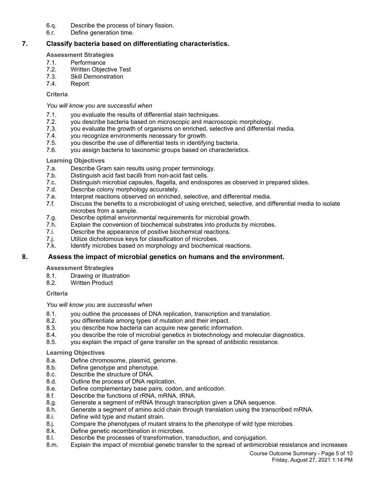- 6.q. Describe the process of binary fission.
- 6.r. Define generation time.

### **7. Classify bacteria based on differentiating characteristics.**

### **Assessment Strategies**

- 7.1. Performance
- 7.2. Written Objective Test
- 7.3. Skill Demonstration
- 7.4. Report

### **Criteria**

### *You will know you are successful when*

- 7.1. you evaluate the results of differential stain techniques.
- 7.2. you describe bacteria based on microscopic and macroscopic morphology.<br>7.3. you evaluate the growth of organisms on enriched, selective and differential
- you evaluate the growth of organisms on enriched, selective and differential media.
- 7.4. you recognize environments necessary for growth.
- 7.5. you describe the use of differential tests in identifying bacteria.
- 7.6. you assign bacteria to taxonomic groups based on characteristics.

### **Learning Objectives**

- 7.a. Describe Gram sain results using proper terminology.
- 7.b. Distinguish acid fast bacilli from non-acid fast cells.
- 7.c. Distinguish microbial capsules, flagella, and endospores as observed in prepared slides.
- 7.d. Describe colony morphology accurately.
- 7.e. Interpret reactions observed on enriched, selective, and differential media.
- 7.f. Discuss the benefits to a microbiologist of using enriched, selective, and differential media to isolate microbes from a sample.
- 7.g. Describe optimal environmental requirements for microbial growth.
- 7.h. Explain the conversion of biochemical substrates into products by microbes.
- 7.i. Describe the appearance of positive biochemical reactions.
- 7.j. Utilize dichotomous keys for classification of microbes.
- 7.k. Identify microbes based on morphology and biochemical reactions.

### **8. Assess the impact of microbial genetics on humans and the environment.**

### **Assessment Strategies**

- 8.1. Drawing or Illustration
- 8.2. Written Product

### **Criteria**

### *You will know you are successful when*

- 8.1. you outline the processes of DNA replication, transcription and translation.
- 8.2. you differentiate among types of mutation and their impact.
- 8.3. you describe how bacteria can acquire new genetic information.
- 8.4. you describe the role of microbial genetics in biotechnology and molecular diagnostics.
- 8.5. you explain the impact of gene transfer on the spread of antibiotic resistance.

- 8.a. Define chromosome, plasmid, genome.
- 8.b. Define genotype and phenotype.
- 8.c. Describe the structure of DNA.
- 8.d. Outline the process of DNA replication.
- 8.e. Define complementary base pairs, codon, and anticodon.
- 8.f. Describe the functions of rRNA, mRNA, tRNA.
- 8.g. Generate a segment of mRNA through transcription given a DNA sequence.
- 8.h. Generate a segment of amino acid chain through translation using the transcribed mRNA.
- 8.i. Define wild type and mutant strain.
- 8.j. Compare the phenotypes of mutant strains to the phenotype of wild type microbes.
- 8.k. Define genetic recombination in microbes.
- 8.l. Describe the processes of transformation, transduction, and conjugation.
- 8.m. Explain the impact of microbial genetic transfer to the spread of antimicrobial resistance and increases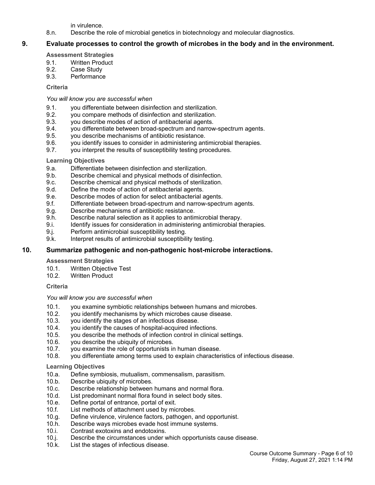in virulence.

8.n. Describe the role of microbial genetics in biotechnology and molecular diagnostics.

### **9. Evaluate processes to control the growth of microbes in the body and in the environment.**

### **Assessment Strategies**

- 9.1. Written Product
- 9.2. Case Study
- 9.3. Performance

### **Criteria**

### *You will know you are successful when*

- 9.1. you differentiate between disinfection and sterilization.
- 9.2. you compare methods of disinfection and sterilization.
- 9.3. you describe modes of action of antibacterial agents.<br>9.4. vou differentiate between broad-spectrum and narrow
- you differentiate between broad-spectrum and narrow-spectrum agents.
- 9.5. you describe mechanisms of antibiotic resistance.
- 9.6. you identify issues to consider in administering antimicrobial therapies.
- 9.7. you interpret the results of susceptibility testing procedures.

### **Learning Objectives**

- 9.a. Differentiate between disinfection and sterilization.
- 9.b. Describe chemical and physical methods of disinfection.
- 9.c. Describe chemical and physical methods of sterilization.
- 9.d. Define the mode of action of antibacterial agents.
- 9.e. Describe modes of action for select antibacterial agents.
- 9.f. Differentiate between broad-spectrum and narrow-spectrum agents.
- 9.g. Describe mechanisms of antibiotic resistance.
- 9.h. Describe natural selection as it applies to antimicrobial therapy.
- 9.i. Identify issues for consideration in administering antimicrobial therapies.
- 9.j. Perform antimicrobial susceptibility testing.
- 9.k. Interpret results of antimicrobial susceptibility testing.

### **10. Summarize pathogenic and non-pathogenic host-microbe interactions.**

#### **Assessment Strategies**

- 10.1. Written Objective Test
- 10.2. Written Product

#### **Criteria**

#### *You will know you are successful when*

- 10.1. you examine symbiotic relationships between humans and microbes.
- 10.2. you identify mechanisms by which microbes cause disease.
- 10.3. you identify the stages of an infectious disease.
- 10.4. you identify the causes of hospital-acquired infections.
- 10.5. you describe the methods of infection control in clinical settings.
- 10.6. you describe the ubiquity of microbes.
- 10.7. you examine the role of opportunists in human disease.
- 10.8. you differentiate among terms used to explain characteristics of infectious disease.

- 10.a. Define symbiosis, mutualism, commensalism, parasitism.
- 10.b. Describe ubiquity of microbes.
- 10.c. Describe relationship between humans and normal flora.
- 10.d. List predominant normal flora found in select body sites.
- 10.e. Define portal of entrance, portal of exit.
- 10.f. List methods of attachment used by microbes.
- 10.g. Define virulence, virulence factors, pathogen, and opportunist.
- 10.h. Describe ways microbes evade host immune systems.
- 10.i. Contrast exotoxins and endotoxins.<br>10.i. Describe the circumstances under v
- Describe the circumstances under which opportunists cause disease.
- 10.k. List the stages of infectious disease.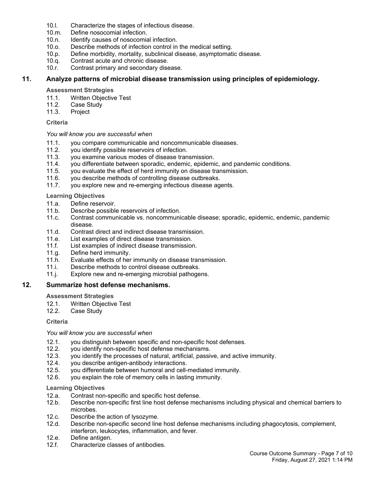- 10.l. Characterize the stages of infectious disease.
- 10.m. Define nosocomial infection.
- 10.n. Identify causes of nosocomial infection.
- 10.o. Describe methods of infection control in the medical setting.
- 10.p. Define morbidity, mortality, subclinical disease, asymptomatic disease.
- 10.q. Contrast acute and chronic disease.
- 10.r. Contrast primary and secondary disease.

### **11. Analyze patterns of microbial disease transmission using principles of epidemiology.**

#### **Assessment Strategies**

- 11.1. Written Objective Test
- 11.2. Case Study
- 11.3. Project

### **Criteria**

#### *You will know you are successful when*

- 11.1. you compare communicable and noncommunicable diseases.
- 11.2. you identify possible reservoirs of infection.
- 11.3. you examine various modes of disease transmission.
- 11.4. you differentiate between sporadic, endemic, epidemic, and pandemic conditions.
- 11.5. you evaluate the effect of herd immunity on disease transmission.
- 11.6. you describe methods of controlling disease outbreaks.
- 11.7. you explore new and re-emerging infectious disease agents.

### **Learning Objectives**

- 11.a. Define reservoir.
- 11.b. Describe possible reservoirs of infection.
- 11.c. Contrast communicable vs. noncommunicable disease; sporadic, epidemic, endemic, pandemic disease.
- 11.d. Contrast direct and indirect disease transmission.
- 11.e. List examples of direct disease transmission.
- 11.f. List examples of indirect disease transmission.
- 11.g. Define herd immunity.
- 11.h. Evaluate effects of her immunity on disease transmission.
- 11.i. Describe methods to control disease outbreaks.
- 11.j. Explore new and re-emerging microbial pathogens.

### **12. Summarize host defense mechanisms.**

#### **Assessment Strategies**

- 12.1. Written Objective Test
- 12.2. Case Study

#### **Criteria**

#### *You will know you are successful when*

- 12.1. you distinguish between specific and non-specific host defenses.
- 12.2. you identify non-specific host defense mechanisms.
- 12.3. you identify the processes of natural, artificial, passive, and active immunity.
- 12.4. you describe antigen-antibody interactions.
- 12.5. you differentiate between humoral and cell-mediated immunity.
- 12.6. you explain the role of memory cells in lasting immunity.

- 12.a. Contrast non-specific and specific host defense.
- 12.b. Describe non-specific first line host defense mechanisms including physical and chemical barriers to microbes.
- 12.c. Describe the action of lysozyme.
- 12.d. Describe non-specific second line host defense mechanisms including phagocytosis, complement, interferon, leukocytes, inflammation, and fever.
- 12.e. Define antigen.
- 12.f. Characterize classes of antibodies.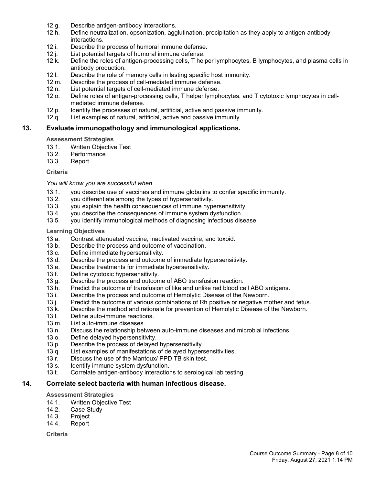- 12.g. Describe antigen-antibody interactions.
- 12.h. Define neutralization, opsonization, agglutination, precipitation as they apply to antigen-antibody interactions.
- 12.i. Describe the process of humoral immune defense.
- 12.j. List potential targets of humoral immune defense.<br>12.k. Define the roles of antigen-processing cells, T help
- Define the roles of antigen-processing cells, T helper lymphocytes, B lymphocytes, and plasma cells in antibody production.
- 12.l. Describe the role of memory cells in lasting specific host immunity.
- 12.m. Describe the process of cell-mediated immune defense.
- 12.n. List potential targets of cell-mediated immune defense.
- 12.o. Define roles of antigen-processing cells, T helper lymphocytes, and T cytotoxic lymphocytes in cellmediated immune defense.
- 12.p. Identify the processes of natural, artificial, active and passive immunity.
- 12.q. List examples of natural, artificial, active and passive immunity.

### **13. Evaluate immunopathology and immunological applications.**

### **Assessment Strategies**

- 13.1. Written Objective Test
- 13.2. Performance
- 13.3. Report

### **Criteria**

### *You will know you are successful when*

- 13.1. you describe use of vaccines and immune globulins to confer specific immunity.
- 13.2. you differentiate among the types of hypersensitivity.
- 13.3. you explain the health consequences of immune hypersensitivity.
- 13.4. you describe the consequences of immune system dysfunction.
- 13.5. you identify immunological methods of diagnosing infectious disease.

### **Learning Objectives**

- 13.a. Contrast attenuated vaccine, inactivated vaccine, and toxoid.
- 13.b. Describe the process and outcome of vaccination.
- 13.c. Define immediate hypersensitivity.
- 13.d. Describe the process and outcome of immediate hypersensitivity.
- 13.e. Describe treatments for immediate hypersensitivity.
- 13.f. Define cytotoxic hypersensitivity.
- 13.g. Describe the process and outcome of ABO transfusion reaction.
- 13.h. Predict the outcome of transfusion of like and unlike red blood cell ABO antigens.
- 13.i. Describe the process and outcome of Hemolytic Disease of the Newborn.
- 13.j. Predict the outcome of various combinations of Rh positive or negative mother and fetus.
- 13.k. Describe the method and rationale for prevention of Hemolytic Disease of the Newborn.
- 13.l. Define auto-immune reactions.
- 13.m. List auto-immune diseases.
- 13.n. Discuss the relationship between auto-immune diseases and microbial infections.
- 13.o. Define delayed hypersensitivity.
- 13.p. Describe the process of delayed hypersensitivity.
- 13.q. List examples of manifestations of delayed hypersensitivities.
- 13.r. Discuss the use of the Mantoux/ PPD TB skin test.
- 13.s. Identify immune system dysfunction.
- 13.t. Correlate antigen-antibody interactions to serological lab testing.

### **14. Correlate select bacteria with human infectious disease.**

#### **Assessment Strategies**

- 14.1. Written Objective Test
- 14.2. Case Study
- 14.3. Project
- 14.4. Report

**Criteria**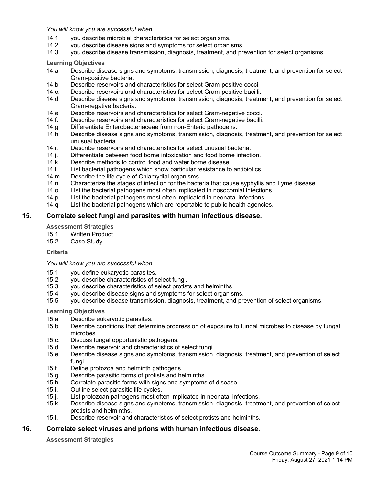*You will know you are successful when*

- 14.1. you describe microbial characteristics for select organisms.
- 14.2. you describe disease signs and symptoms for select organisms.
- 14.3. you describe disease transmission, diagnosis, treatment, and prevention for select organisms.

**Learning Objectives**

- 14.a. Describe disease signs and symptoms, transmission, diagnosis, treatment, and prevention for select Gram-positive bacteria.
- 14.b. Describe reservoirs and characteristics for select Gram-positive cocci.
- 14.c. Describe reservoirs and characteristics for select Gram-positive bacilli.
- 14.d. Describe disease signs and symptoms, transmission, diagnosis, treatment, and prevention for select Gram-negative bacteria.
- 14.e. Describe reservoirs and characteristics for select Gram-negative cocci.
- 14.f. Describe reservoirs and characteristics for select Gram-negative bacilli.
- 14.g. Differentiate Enterobacteriaceae from non-Enteric pathogens.
- 14.h. Describe disease signs and symptoms, transmission, diagnosis, treatment, and prevention for select unusual bacteria.
- 14.i. Describe reservoirs and characteristics for select unusual bacteria.
- 14.j. Differentiate between food borne intoxication and food borne infection.
- 14.k. Describe methods to control food and water borne disease.
- 14.l. List bacterial pathogens which show particular resistance to antibiotics.
- 14.m. Describe the life cycle of Chlamydial organisms.
- 14.n. Characterize the stages of infection for the bacteria that cause syphyllis and Lyme disease.
- 14.o. List the bacterial pathogens most often implicated in nosocomial infections.
- 14.p. List the bacterial pathogens most often implicated in neonatal infections.
- 14.q. List the bacterial pathogens which are reportable to public health agencies.

### **15. Correlate select fungi and parasites with human infectious disease.**

#### **Assessment Strategies**

- 15.1. Written Product
- 15.2. Case Study

#### **Criteria**

#### *You will know you are successful when*

- 15.1. you define eukaryotic parasites.
- 15.2. you describe characteristics of select fungi.
- 15.3. you describe characteristics of select protists and helminths.<br>15.4. vou describe disease signs and symptoms for select organise
- you describe disease signs and symptoms for select organisms.
- 15.5. you describe disease transmission, diagnosis, treatment, and prevention of select organisms.

#### **Learning Objectives**

- 15.a. Describe eukaryotic parasites.
- 15.b. Describe conditions that determine progression of exposure to fungal microbes to disease by fungal microbes.
- 15.c. Discuss fungal opportunistic pathogens.
- 15.d. Describe reservoir and characteristics of select fungi.
- 15.e. Describe disease signs and symptoms, transmission, diagnosis, treatment, and prevention of select fungi.
- 15.f. Define protozoa and helminth pathogens.
- 15.g. Describe parasitic forms of protists and helminths.
- 15.h. Correlate parasitic forms with signs and symptoms of disease.
- 15.i. Outline select parasitic life cycles.
- 15.j. List protozoan pathogens most often implicated in neonatal infections.
- 15.k. Describe disease signs and symptoms, transmission, diagnosis, treatment, and prevention of select protists and helminths.
- 15.l. Describe reservoir and characteristics of select protists and helminths.

### **16. Correlate select viruses and prions with human infectious disease.**

#### **Assessment Strategies**